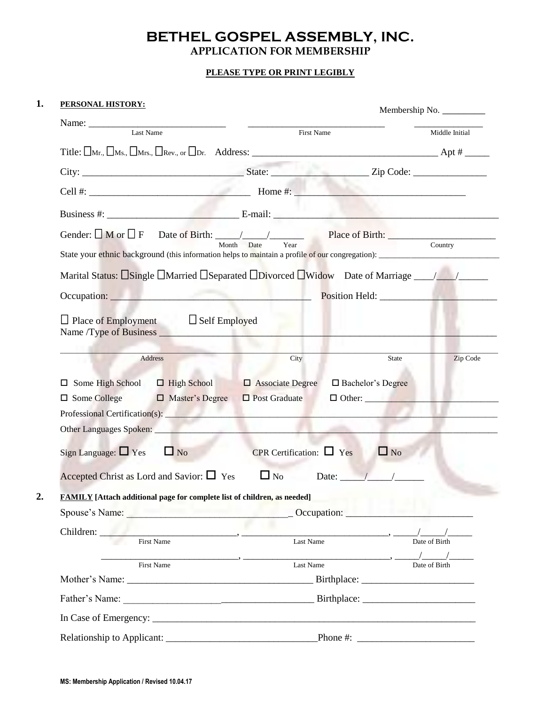# **BETHEL GOSPEL ASSEMBLY, INC.**

## **APPLICATION FOR MEMBERSHIP**

#### **PLEASE TYPE OR PRINT LEGIBLY**

#### **1. PERSONAL HISTORY:**

| <u>PERSONAL HISTORY:</u>                                                                                                                                                                                                      |                                                                                                        |                                                                                                                                                                                                                                                                                                                                      |
|-------------------------------------------------------------------------------------------------------------------------------------------------------------------------------------------------------------------------------|--------------------------------------------------------------------------------------------------------|--------------------------------------------------------------------------------------------------------------------------------------------------------------------------------------------------------------------------------------------------------------------------------------------------------------------------------------|
| Name: <u>Last Name</u>                                                                                                                                                                                                        | First Name                                                                                             | Middle Initial                                                                                                                                                                                                                                                                                                                       |
|                                                                                                                                                                                                                               |                                                                                                        |                                                                                                                                                                                                                                                                                                                                      |
|                                                                                                                                                                                                                               |                                                                                                        |                                                                                                                                                                                                                                                                                                                                      |
| Cell #: $\qquad \qquad$ Home #:                                                                                                                                                                                               |                                                                                                        |                                                                                                                                                                                                                                                                                                                                      |
|                                                                                                                                                                                                                               |                                                                                                        |                                                                                                                                                                                                                                                                                                                                      |
| Gender: $\Box$ M or $\Box$ F                                                                                                                                                                                                  |                                                                                                        |                                                                                                                                                                                                                                                                                                                                      |
| Month                                                                                                                                                                                                                         | Year<br>Date                                                                                           | Country                                                                                                                                                                                                                                                                                                                              |
|                                                                                                                                                                                                                               |                                                                                                        |                                                                                                                                                                                                                                                                                                                                      |
| Occupation: New York Contract of the Contract of the Contract of the Contract of the Contract of the Contract of the Contract of the Contract of the Contract of the Contract of the Contract of the Contract of the Contract |                                                                                                        |                                                                                                                                                                                                                                                                                                                                      |
|                                                                                                                                                                                                                               |                                                                                                        |                                                                                                                                                                                                                                                                                                                                      |
| $\Box$ Place of Employment $\Box$ Self Employed                                                                                                                                                                               |                                                                                                        |                                                                                                                                                                                                                                                                                                                                      |
|                                                                                                                                                                                                                               |                                                                                                        |                                                                                                                                                                                                                                                                                                                                      |
| $\Box$ Some High School $\Box$ High School<br>$\Box$ Some College<br>$\Box$ Master's Degree<br>Other Languages Spoken: 1986 1997                                                                                              | $\Box$ Associate Degree<br>$\Box$ Post Graduate<br><u>all'internazionale dell'Internazionale dell'</u> | □ Bachelor's Degree                                                                                                                                                                                                                                                                                                                  |
| Sign Language: $\Box$ Yes<br>$\Box$ No                                                                                                                                                                                        | CPR Certification: $\Box$ Yes                                                                          | $\Box$ No                                                                                                                                                                                                                                                                                                                            |
|                                                                                                                                                                                                                               |                                                                                                        |                                                                                                                                                                                                                                                                                                                                      |
| Accepted Christ as Lord and Savior: $\Box$ Yes                                                                                                                                                                                | $\Box$ No                                                                                              | Date: $/$ /                                                                                                                                                                                                                                                                                                                          |
| <b>FAMILY</b> [Attach additional page for complete list of children, as needed]                                                                                                                                               |                                                                                                        |                                                                                                                                                                                                                                                                                                                                      |
|                                                                                                                                                                                                                               |                                                                                                        |                                                                                                                                                                                                                                                                                                                                      |
| Children:<br><b>First Name</b>                                                                                                                                                                                                | Last Name                                                                                              |                                                                                                                                                                                                                                                                                                                                      |
|                                                                                                                                                                                                                               |                                                                                                        | Date of Birth<br>$\frac{1}{2}$ $\frac{1}{2}$ $\frac{1}{2}$ $\frac{1}{2}$ $\frac{1}{2}$ $\frac{1}{2}$ $\frac{1}{2}$ $\frac{1}{2}$ $\frac{1}{2}$ $\frac{1}{2}$ $\frac{1}{2}$ $\frac{1}{2}$ $\frac{1}{2}$ $\frac{1}{2}$ $\frac{1}{2}$ $\frac{1}{2}$ $\frac{1}{2}$ $\frac{1}{2}$ $\frac{1}{2}$ $\frac{1}{2}$ $\frac{1}{2}$ $\frac{1}{2}$ |
| First Name                                                                                                                                                                                                                    | Last Name                                                                                              | Date of Birth                                                                                                                                                                                                                                                                                                                        |
|                                                                                                                                                                                                                               |                                                                                                        |                                                                                                                                                                                                                                                                                                                                      |
|                                                                                                                                                                                                                               |                                                                                                        |                                                                                                                                                                                                                                                                                                                                      |
|                                                                                                                                                                                                                               |                                                                                                        |                                                                                                                                                                                                                                                                                                                                      |
|                                                                                                                                                                                                                               |                                                                                                        | Phone #: $\frac{1}{2}$ Phone #:                                                                                                                                                                                                                                                                                                      |